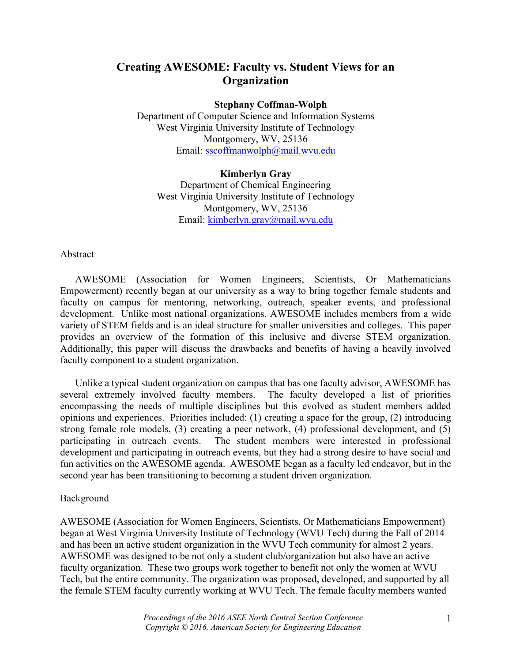# Creating AWESOME: Faculty vs. Student Views for an **Organization**

#### Stephany Coffman-Wolph

Department of Computer Science and Information Systems West Virginia University Institute of Technology Montgomery, WV, 25136 Email: sscoffmanwolph@mail.wvu.edu

## Kimberlyn Gray Department of Chemical Engineering West Virginia University Institute of Technology Montgomery, WV, 25136 Email: kimberlyn.gray@mail.wvu.edu

### Abstract

AWESOME (Association for Women Engineers, Scientists, Or Mathematicians Empowerment) recently began at our university as a way to bring together female students and faculty on campus for mentoring, networking, outreach, speaker events, and professional development. Unlike most national organizations, AWESOME includes members from a wide variety of STEM fields and is an ideal structure for smaller universities and colleges. This paper provides an overview of the formation of this inclusive and diverse STEM organization. Additionally, this paper will discuss the drawbacks and benefits of having a heavily involved faculty component to a student organization.

Unlike a typical student organization on campus that has one faculty advisor, AWESOME has several extremely involved faculty members. The faculty developed a list of priorities encompassing the needs of multiple disciplines but this evolved as student members added opinions and experiences. Priorities included: (1) creating a space for the group, (2) introducing strong female role models, (3) creating a peer network, (4) professional development, and (5) participating in outreach events. The student members were interested in professional development and participating in outreach events, but they had a strong desire to have social and fun activities on the AWESOME agenda. AWESOME began as a faculty led endeavor, but in the second year has been transitioning to becoming a student driven organization.

#### Background

AWESOME (Association for Women Engineers, Scientists, Or Mathematicians Empowerment) began at West Virginia University Institute of Technology (WVU Tech) during the Fall of 2014 and has been an active student organization in the WVU Tech community for almost 2 years. AWESOME was designed to be not only a student club/organization but also have an active faculty organization. These two groups work together to benefit not only the women at WVU Tech, but the entire community. The organization was proposed, developed, and supported by all the female STEM faculty currently working at WVU Tech. The female faculty members wanted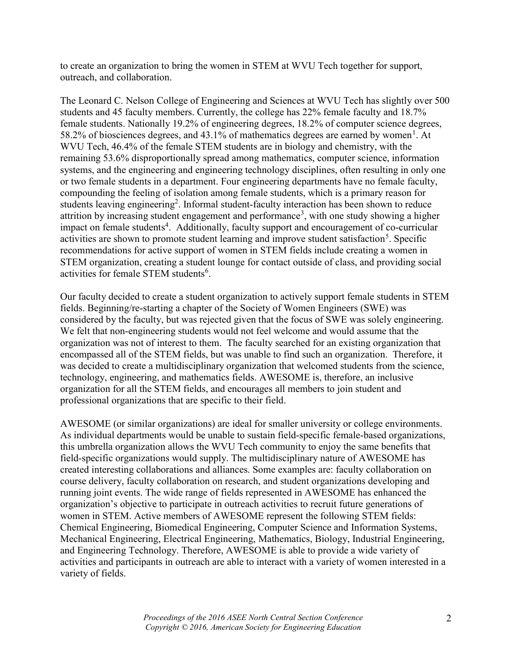to create an organization to bring the women in STEM at WVU Tech together for support, outreach, and collaboration.

The Leonard C. Nelson College of Engineering and Sciences at WVU Tech has slightly over 500 students and 45 faculty members. Currently, the college has 22% female faculty and 18.7% female students. Nationally 19.2% of engineering degrees, 18.2% of computer science degrees, 58.2% of biosciences degrees, and 43.1% of mathematics degrees are earned by women<sup>1</sup>. At WVU Tech, 46.4% of the female STEM students are in biology and chemistry, with the remaining 53.6% disproportionally spread among mathematics, computer science, information systems, and the engineering and engineering technology disciplines, often resulting in only one or two female students in a department. Four engineering departments have no female faculty, compounding the feeling of isolation among female students, which is a primary reason for students leaving engineering<sup>2</sup>. Informal student-faculty interaction has been shown to reduce attrition by increasing student engagement and performance<sup>3</sup>, with one study showing a higher impact on female students<sup>4</sup>. Additionally, faculty support and encouragement of co-curricular activities are shown to promote student learning and improve student satisfaction<sup>5</sup>. Specific recommendations for active support of women in STEM fields include creating a women in STEM organization, creating a student lounge for contact outside of class, and providing social activities for female STEM students<sup>6</sup>.

Our faculty decided to create a student organization to actively support female students in STEM fields. Beginning/re-starting a chapter of the Society of Women Engineers (SWE) was considered by the faculty, but was rejected given that the focus of SWE was solely engineering. We felt that non-engineering students would not feel welcome and would assume that the organization was not of interest to them. The faculty searched for an existing organization that encompassed all of the STEM fields, but was unable to find such an organization. Therefore, it was decided to create a multidisciplinary organization that welcomed students from the science, technology, engineering, and mathematics fields. AWESOME is, therefore, an inclusive organization for all the STEM fields, and encourages all members to join student and professional organizations that are specific to their field.

AWESOME (or similar organizations) are ideal for smaller university or college environments. As individual departments would be unable to sustain field-specific female-based organizations, this umbrella organization allows the WVU Tech community to enjoy the same benefits that field-specific organizations would supply. The multidisciplinary nature of AWESOME has created interesting collaborations and alliances. Some examples are: faculty collaboration on course delivery, faculty collaboration on research, and student organizations developing and running joint events. The wide range of fields represented in AWESOME has enhanced the organization's objective to participate in outreach activities to recruit future generations of women in STEM. Active members of AWESOME represent the following STEM fields: Chemical Engineering, Biomedical Engineering, Computer Science and Information Systems, Mechanical Engineering, Electrical Engineering, Mathematics, Biology, Industrial Engineering, and Engineering Technology. Therefore, AWESOME is able to provide a wide variety of activities and participants in outreach are able to interact with a variety of women interested in a variety of fields.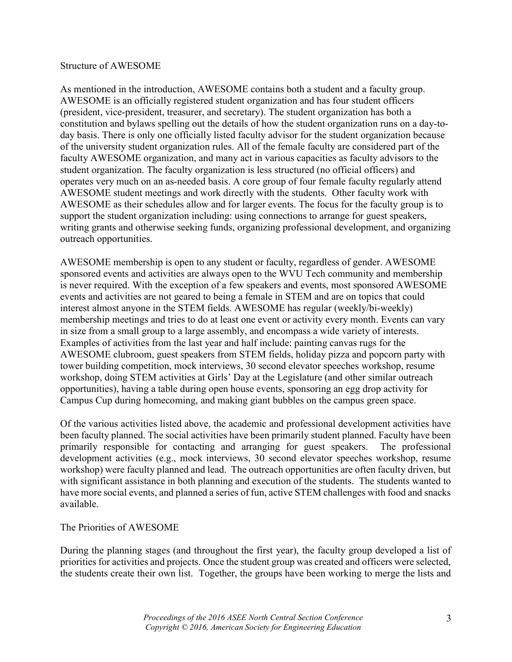### Structure of AWESOME

As mentioned in the introduction, AWESOME contains both a student and a faculty group. AWESOME is an officially registered student organization and has four student officers (president, vice-president, treasurer, and secretary). The student organization has both a constitution and bylaws spelling out the details of how the student organization runs on a day-today basis. There is only one officially listed faculty advisor for the student organization because of the university student organization rules. All of the female faculty are considered part of the faculty AWESOME organization, and many act in various capacities as faculty advisors to the student organization. The faculty organization is less structured (no official officers) and operates very much on an as-needed basis. A core group of four female faculty regularly attend AWESOME student meetings and work directly with the students. Other faculty work with AWESOME as their schedules allow and for larger events. The focus for the faculty group is to support the student organization including: using connections to arrange for guest speakers, writing grants and otherwise seeking funds, organizing professional development, and organizing outreach opportunities.

AWESOME membership is open to any student or faculty, regardless of gender. AWESOME sponsored events and activities are always open to the WVU Tech community and membership is never required. With the exception of a few speakers and events, most sponsored AWESOME events and activities are not geared to being a female in STEM and are on topics that could interest almost anyone in the STEM fields. AWESOME has regular (weekly/bi-weekly) membership meetings and tries to do at least one event or activity every month. Events can vary in size from a small group to a large assembly, and encompass a wide variety of interests. Examples of activities from the last year and half include: painting canvas rugs for the AWESOME clubroom, guest speakers from STEM fields, holiday pizza and popcorn party with tower building competition, mock interviews, 30 second elevator speeches workshop, resume workshop, doing STEM activities at Girls' Day at the Legislature (and other similar outreach opportunities), having a table during open house events, sponsoring an egg drop activity for Campus Cup during homecoming, and making giant bubbles on the campus green space.

Of the various activities listed above, the academic and professional development activities have been faculty planned. The social activities have been primarily student planned. Faculty have been primarily responsible for contacting and arranging for guest speakers. The professional development activities (e.g., mock interviews, 30 second elevator speeches workshop, resume workshop) were faculty planned and lead. The outreach opportunities are often faculty driven, but with significant assistance in both planning and execution of the students. The students wanted to have more social events, and planned a series of fun, active STEM challenges with food and snacks available.

### The Priorities of AWESOME

During the planning stages (and throughout the first year), the faculty group developed a list of priorities for activities and projects. Once the student group was created and officers were selected, the students create their own list. Together, the groups have been working to merge the lists and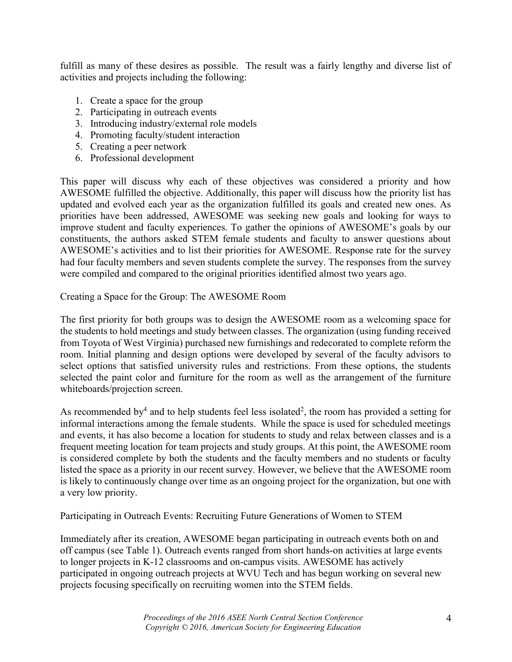fulfill as many of these desires as possible. The result was a fairly lengthy and diverse list of activities and projects including the following:

- 1. Create a space for the group
- 2. Participating in outreach events
- 3. Introducing industry/external role models
- 4. Promoting faculty/student interaction
- 5. Creating a peer network
- 6. Professional development

This paper will discuss why each of these objectives was considered a priority and how AWESOME fulfilled the objective. Additionally, this paper will discuss how the priority list has updated and evolved each year as the organization fulfilled its goals and created new ones. As priorities have been addressed, AWESOME was seeking new goals and looking for ways to improve student and faculty experiences. To gather the opinions of AWESOME's goals by our constituents, the authors asked STEM female students and faculty to answer questions about AWESOME's activities and to list their priorities for AWESOME. Response rate for the survey had four faculty members and seven students complete the survey. The responses from the survey were compiled and compared to the original priorities identified almost two years ago.

Creating a Space for the Group: The AWESOME Room

The first priority for both groups was to design the AWESOME room as a welcoming space for the students to hold meetings and study between classes. The organization (using funding received from Toyota of West Virginia) purchased new furnishings and redecorated to complete reform the room. Initial planning and design options were developed by several of the faculty advisors to select options that satisfied university rules and restrictions. From these options, the students selected the paint color and furniture for the room as well as the arrangement of the furniture whiteboards/projection screen.

As recommended by<sup>4</sup> and to help students feel less isolated<sup>2</sup>, the room has provided a setting for informal interactions among the female students. While the space is used for scheduled meetings and events, it has also become a location for students to study and relax between classes and is a frequent meeting location for team projects and study groups. At this point, the AWESOME room is considered complete by both the students and the faculty members and no students or faculty listed the space as a priority in our recent survey. However, we believe that the AWESOME room is likely to continuously change over time as an ongoing project for the organization, but one with a very low priority.

Participating in Outreach Events: Recruiting Future Generations of Women to STEM

Immediately after its creation, AWESOME began participating in outreach events both on and off campus (see Table 1). Outreach events ranged from short hands-on activities at large events to longer projects in K-12 classrooms and on-campus visits. AWESOME has actively participated in ongoing outreach projects at WVU Tech and has begun working on several new projects focusing specifically on recruiting women into the STEM fields.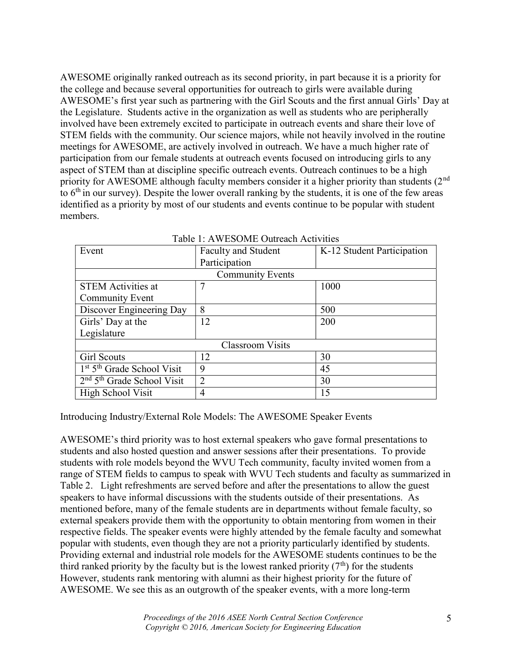AWESOME originally ranked outreach as its second priority, in part because it is a priority for the college and because several opportunities for outreach to girls were available during AWESOME's first year such as partnering with the Girl Scouts and the first annual Girls' Day at the Legislature. Students active in the organization as well as students who are peripherally involved have been extremely excited to participate in outreach events and share their love of STEM fields with the community. Our science majors, while not heavily involved in the routine meetings for AWESOME, are actively involved in outreach. We have a much higher rate of participation from our female students at outreach events focused on introducing girls to any aspect of STEM than at discipline specific outreach events. Outreach continues to be a high priority for AWESOME although faculty members consider it a higher priority than students (2<sup>nd</sup>) to  $6<sup>th</sup>$  in our survey). Despite the lower overall ranking by the students, it is one of the few areas identified as a priority by most of our students and events continue to be popular with student members.

| Event                        | <b>Faculty and Student</b> | K-12 Student Participation |  |  |  |
|------------------------------|----------------------------|----------------------------|--|--|--|
|                              | Participation              |                            |  |  |  |
| <b>Community Events</b>      |                            |                            |  |  |  |
| <b>STEM Activities at</b>    | 7                          | 1000                       |  |  |  |
| <b>Community Event</b>       |                            |                            |  |  |  |
| Discover Engineering Day     | 8                          | 500                        |  |  |  |
| Girls' Day at the            | 12                         | 200                        |  |  |  |
| Legislature                  |                            |                            |  |  |  |
| <b>Classroom Visits</b>      |                            |                            |  |  |  |
| Girl Scouts                  | 12                         | 30                         |  |  |  |
| $1st 5th$ Grade School Visit | 9                          | 45                         |  |  |  |
| $2nd 5th$ Grade School Visit | $\overline{2}$             | 30                         |  |  |  |
| High School Visit            | 4                          | 15                         |  |  |  |

|  |  | Table 1: AWESOME Outreach Activities |
|--|--|--------------------------------------|
|  |  |                                      |

Introducing Industry/External Role Models: The AWESOME Speaker Events

AWESOME's third priority was to host external speakers who gave formal presentations to students and also hosted question and answer sessions after their presentations. To provide students with role models beyond the WVU Tech community, faculty invited women from a range of STEM fields to campus to speak with WVU Tech students and faculty as summarized in Table 2. Light refreshments are served before and after the presentations to allow the guest speakers to have informal discussions with the students outside of their presentations. As mentioned before, many of the female students are in departments without female faculty, so external speakers provide them with the opportunity to obtain mentoring from women in their respective fields. The speaker events were highly attended by the female faculty and somewhat popular with students, even though they are not a priority particularly identified by students. Providing external and industrial role models for the AWESOME students continues to be the third ranked priority by the faculty but is the lowest ranked priority  $(7<sup>th</sup>)$  for the students However, students rank mentoring with alumni as their highest priority for the future of AWESOME. We see this as an outgrowth of the speaker events, with a more long-term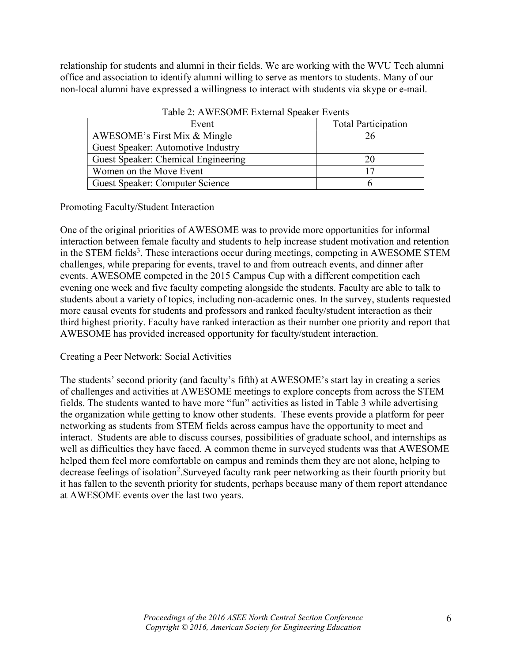relationship for students and alumni in their fields. We are working with the WVU Tech alumni office and association to identify alumni willing to serve as mentors to students. Many of our non-local alumni have expressed a willingness to interact with students via skype or e-mail.

| Twore <b>E</b> . If a booking billed by called the value |                            |  |
|----------------------------------------------------------|----------------------------|--|
| Event                                                    | <b>Total Participation</b> |  |
| AWESOME's First Mix & Mingle                             | 26                         |  |
| Guest Speaker: Automotive Industry                       |                            |  |
| Guest Speaker: Chemical Engineering                      |                            |  |
| Women on the Move Event                                  |                            |  |
| Guest Speaker: Computer Science                          |                            |  |

Table 2: AWESOME External Speaker Events

Promoting Faculty/Student Interaction

One of the original priorities of AWESOME was to provide more opportunities for informal interaction between female faculty and students to help increase student motivation and retention in the STEM fields<sup>3</sup>. These interactions occur during meetings, competing in AWESOME STEM challenges, while preparing for events, travel to and from outreach events, and dinner after events. AWESOME competed in the 2015 Campus Cup with a different competition each evening one week and five faculty competing alongside the students. Faculty are able to talk to students about a variety of topics, including non-academic ones. In the survey, students requested more causal events for students and professors and ranked faculty/student interaction as their third highest priority. Faculty have ranked interaction as their number one priority and report that AWESOME has provided increased opportunity for faculty/student interaction.

Creating a Peer Network: Social Activities

The students' second priority (and faculty's fifth) at AWESOME's start lay in creating a series of challenges and activities at AWESOME meetings to explore concepts from across the STEM fields. The students wanted to have more "fun" activities as listed in Table 3 while advertising the organization while getting to know other students. These events provide a platform for peer networking as students from STEM fields across campus have the opportunity to meet and interact. Students are able to discuss courses, possibilities of graduate school, and internships as well as difficulties they have faced. A common theme in surveyed students was that AWESOME helped them feel more comfortable on campus and reminds them they are not alone, helping to decrease feelings of isolation<sup>2</sup>. Surveyed faculty rank peer networking as their fourth priority but it has fallen to the seventh priority for students, perhaps because many of them report attendance at AWESOME events over the last two years.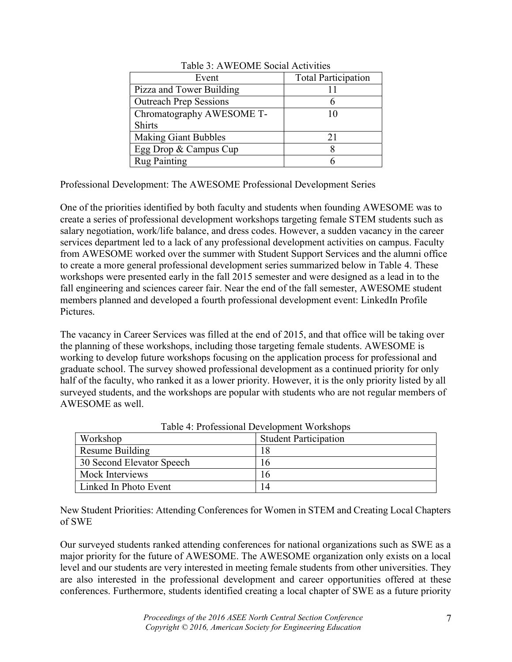| Event                         | <b>Total Participation</b> |
|-------------------------------|----------------------------|
| Pizza and Tower Building      |                            |
| <b>Outreach Prep Sessions</b> |                            |
| Chromatography AWESOME T-     | 10                         |
| <b>Shirts</b>                 |                            |
| <b>Making Giant Bubbles</b>   | 21                         |
| Egg Drop & Campus Cup         |                            |
| <b>Rug Painting</b>           |                            |

Table 3: AWEOME Social Activities

Professional Development: The AWESOME Professional Development Series

One of the priorities identified by both faculty and students when founding AWESOME was to create a series of professional development workshops targeting female STEM students such as salary negotiation, work/life balance, and dress codes. However, a sudden vacancy in the career services department led to a lack of any professional development activities on campus. Faculty from AWESOME worked over the summer with Student Support Services and the alumni office to create a more general professional development series summarized below in Table 4. These workshops were presented early in the fall 2015 semester and were designed as a lead in to the fall engineering and sciences career fair. Near the end of the fall semester, AWESOME student members planned and developed a fourth professional development event: LinkedIn Profile Pictures.

The vacancy in Career Services was filled at the end of 2015, and that office will be taking over the planning of these workshops, including those targeting female students. AWESOME is working to develop future workshops focusing on the application process for professional and graduate school. The survey showed professional development as a continued priority for only half of the faculty, who ranked it as a lower priority. However, it is the only priority listed by all surveyed students, and the workshops are popular with students who are not regular members of AWESOME as well.

| Workshop                  | <b>Student Participation</b> |
|---------------------------|------------------------------|
| Resume Building           |                              |
| 30 Second Elevator Speech | 16                           |
| Mock Interviews           | 16                           |
| Linked In Photo Event     | 14                           |

Table 4: Professional Development Workshops

New Student Priorities: Attending Conferences for Women in STEM and Creating Local Chapters of SWE

Our surveyed students ranked attending conferences for national organizations such as SWE as a major priority for the future of AWESOME. The AWESOME organization only exists on a local level and our students are very interested in meeting female students from other universities. They are also interested in the professional development and career opportunities offered at these conferences. Furthermore, students identified creating a local chapter of SWE as a future priority